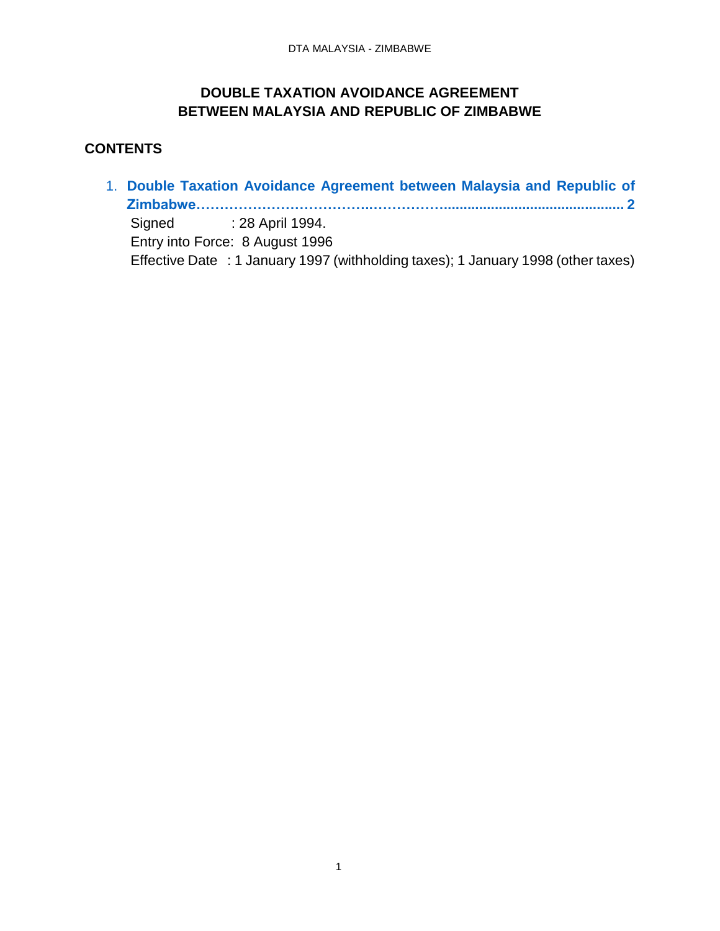#### **DOUBLE TAXATION AVOIDANCE AGREEMENT BETWEEN MALAYSIA AND REPUBLIC OF ZIMBABWE**

#### **CONTENTS**

1. **[Double Taxation Avoidance Agreement between Malaysia and](#page-1-0) Republic of [Zimbabwe………………………………..……………..............................................](#page-1-0) 2** Signed : 28 April 1994. Entry into Force: 8 August 1996 Effective Date : 1 January 1997 (withholding taxes); 1 January 1998 (other taxes)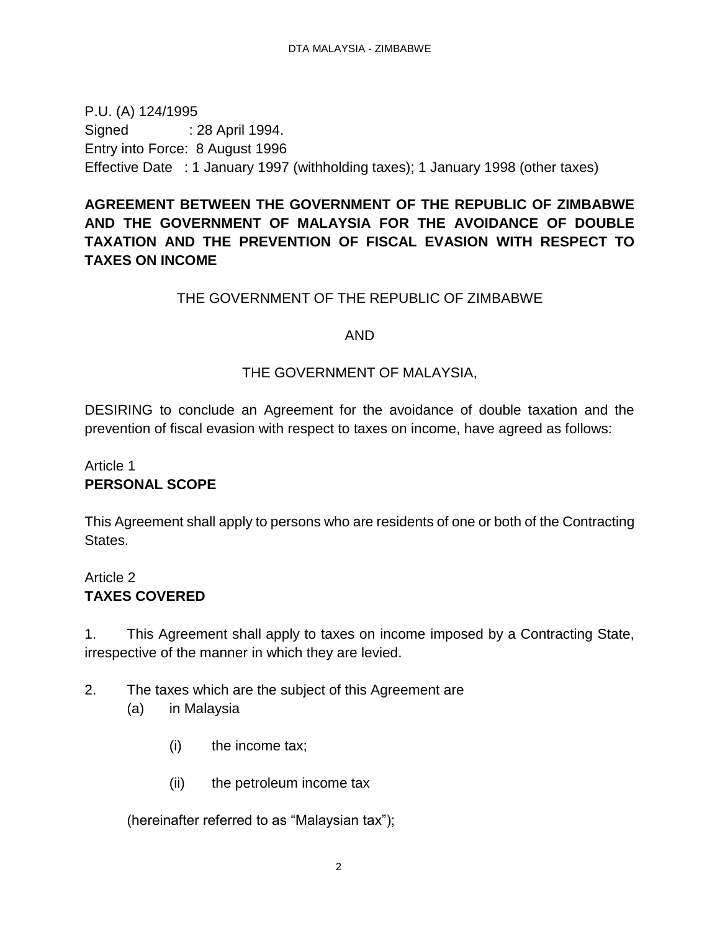<span id="page-1-0"></span>P.U. (A) 124/1995 Signed : 28 April 1994. Entry into Force: 8 August 1996 Effective Date : 1 January 1997 (withholding taxes); 1 January 1998 (other taxes)

## **AGREEMENT BETWEEN THE GOVERNMENT OF THE REPUBLIC OF ZIMBABWE AND THE GOVERNMENT OF MALAYSIA FOR THE AVOIDANCE OF DOUBLE TAXATION AND THE PREVENTION OF FISCAL EVASION WITH RESPECT TO TAXES ON INCOME**

#### THE GOVERNMENT OF THE REPUBLIC OF ZIMBABWE

#### AND

#### THE GOVERNMENT OF MALAYSIA,

DESIRING to conclude an Agreement for the avoidance of double taxation and the prevention of fiscal evasion with respect to taxes on income, have agreed as follows:

#### Article 1 **PERSONAL SCOPE**

This Agreement shall apply to persons who are residents of one or both of the Contracting States.

#### Article 2 **TAXES COVERED**

1. This Agreement shall apply to taxes on income imposed by a Contracting State, irrespective of the manner in which they are levied.

- 2. The taxes which are the subject of this Agreement are
	- (a) in Malaysia
		- (i) the income tax;
		- (ii) the petroleum income tax

(hereinafter referred to as "Malaysian tax");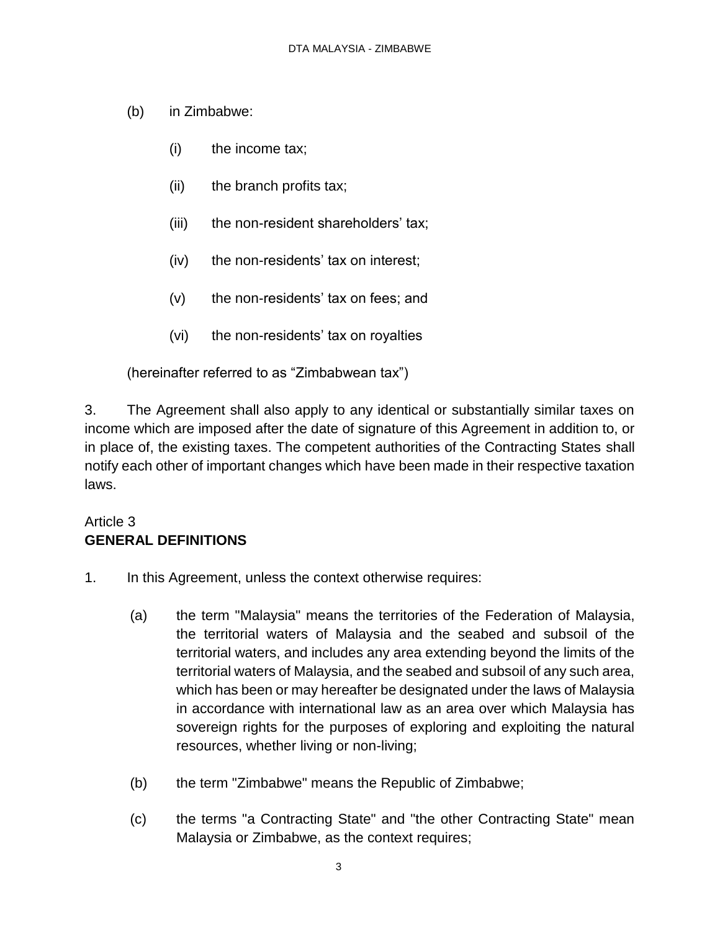- (b) in Zimbabwe:
	- (i) the income tax;
	- (ii) the branch profits tax;
	- (iii) the non-resident shareholders' tax;
	- (iv) the non-residents' tax on interest;
	- (v) the non-residents' tax on fees; and
	- (vi) the non-residents' tax on royalties

(hereinafter referred to as "Zimbabwean tax")

3. The Agreement shall also apply to any identical or substantially similar taxes on income which are imposed after the date of signature of this Agreement in addition to, or in place of, the existing taxes. The competent authorities of the Contracting States shall notify each other of important changes which have been made in their respective taxation laws.

## Article 3 **GENERAL DEFINITIONS**

- 1. In this Agreement, unless the context otherwise requires:
	- (a) the term "Malaysia" means the territories of the Federation of Malaysia, the territorial waters of Malaysia and the seabed and subsoil of the territorial waters, and includes any area extending beyond the limits of the territorial waters of Malaysia, and the seabed and subsoil of any such area, which has been or may hereafter be designated under the laws of Malaysia in accordance with international law as an area over which Malaysia has sovereign rights for the purposes of exploring and exploiting the natural resources, whether living or non-living;
	- (b) the term "Zimbabwe" means the Republic of Zimbabwe;
	- (c) the terms "a Contracting State" and "the other Contracting State" mean Malaysia or Zimbabwe, as the context requires;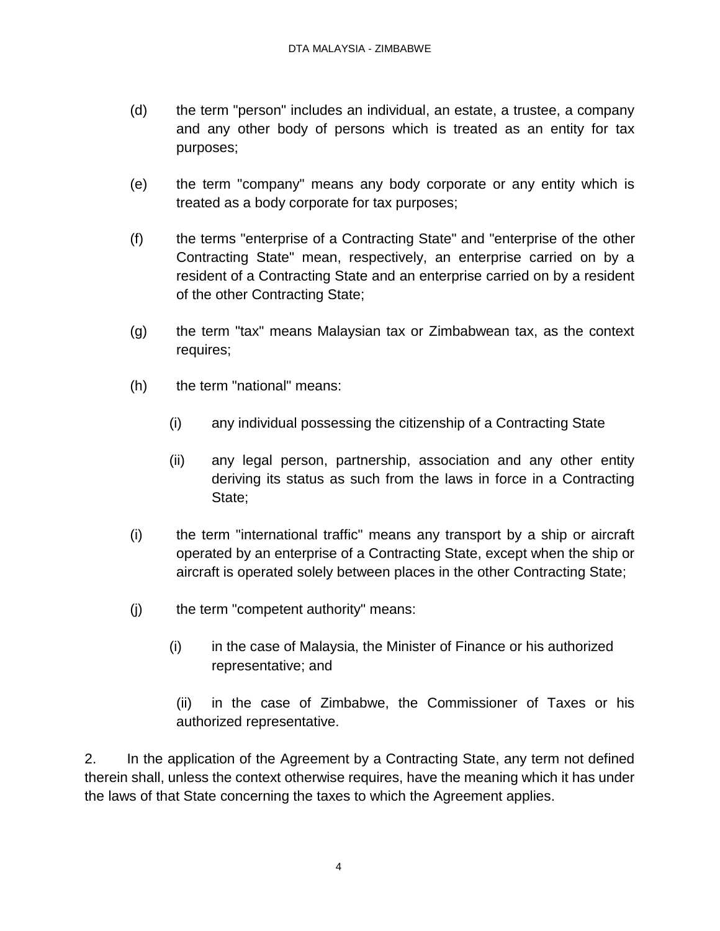- (d) the term "person" includes an individual, an estate, a trustee, a company and any other body of persons which is treated as an entity for tax purposes;
- (e) the term "company" means any body corporate or any entity which is treated as a body corporate for tax purposes;
- (f) the terms "enterprise of a Contracting State" and "enterprise of the other Contracting State" mean, respectively, an enterprise carried on by a resident of a Contracting State and an enterprise carried on by a resident of the other Contracting State;
- (g) the term "tax" means Malaysian tax or Zimbabwean tax, as the context requires;
- (h) the term "national" means:
	- (i) any individual possessing the citizenship of a Contracting State
	- (ii) any legal person, partnership, association and any other entity deriving its status as such from the laws in force in a Contracting State;
- (i) the term "international traffic" means any transport by a ship or aircraft operated by an enterprise of a Contracting State, except when the ship or aircraft is operated solely between places in the other Contracting State;
- (j) the term "competent authority" means:
	- (i) in the case of Malaysia, the Minister of Finance or his authorized representative; and

(ii) in the case of Zimbabwe, the Commissioner of Taxes or his authorized representative.

2. In the application of the Agreement by a Contracting State, any term not defined therein shall, unless the context otherwise requires, have the meaning which it has under the laws of that State concerning the taxes to which the Agreement applies.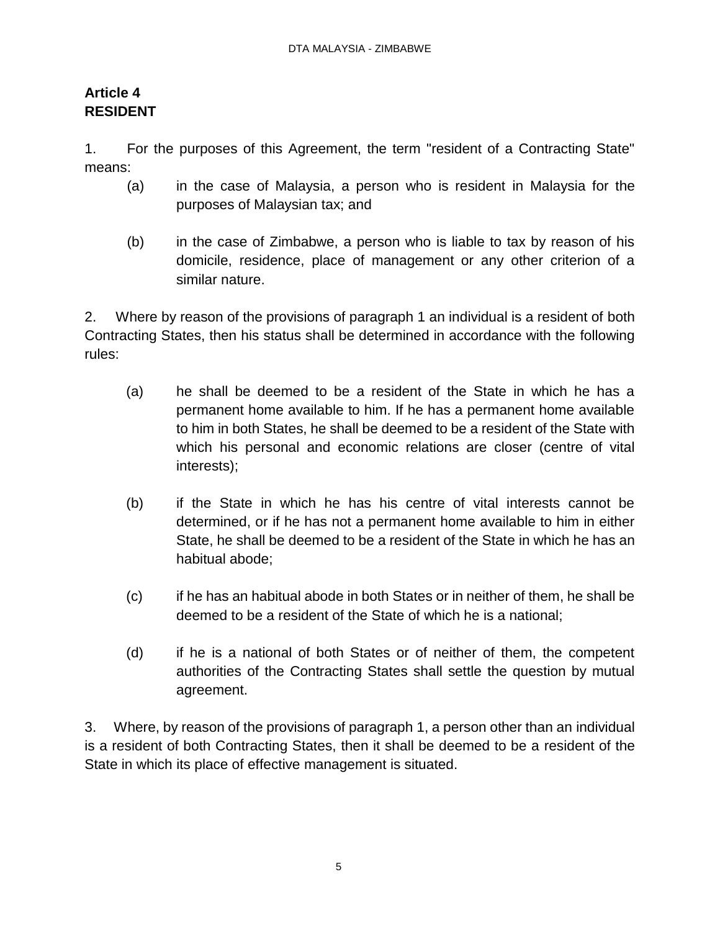## **Article 4 RESIDENT**

1. For the purposes of this Agreement, the term "resident of a Contracting State" means:

- (a) in the case of Malaysia, a person who is resident in Malaysia for the purposes of Malaysian tax; and
- (b) in the case of Zimbabwe, a person who is liable to tax by reason of his domicile, residence, place of management or any other criterion of a similar nature.

2. Where by reason of the provisions of paragraph 1 an individual is a resident of both Contracting States, then his status shall be determined in accordance with the following rules:

- (a) he shall be deemed to be a resident of the State in which he has a permanent home available to him. If he has a permanent home available to him in both States, he shall be deemed to be a resident of the State with which his personal and economic relations are closer (centre of vital interests);
- (b) if the State in which he has his centre of vital interests cannot be determined, or if he has not a permanent home available to him in either State, he shall be deemed to be a resident of the State in which he has an habitual abode;
- (c) if he has an habitual abode in both States or in neither of them, he shall be deemed to be a resident of the State of which he is a national;
- (d) if he is a national of both States or of neither of them, the competent authorities of the Contracting States shall settle the question by mutual agreement.

3. Where, by reason of the provisions of paragraph 1, a person other than an individual is a resident of both Contracting States, then it shall be deemed to be a resident of the State in which its place of effective management is situated.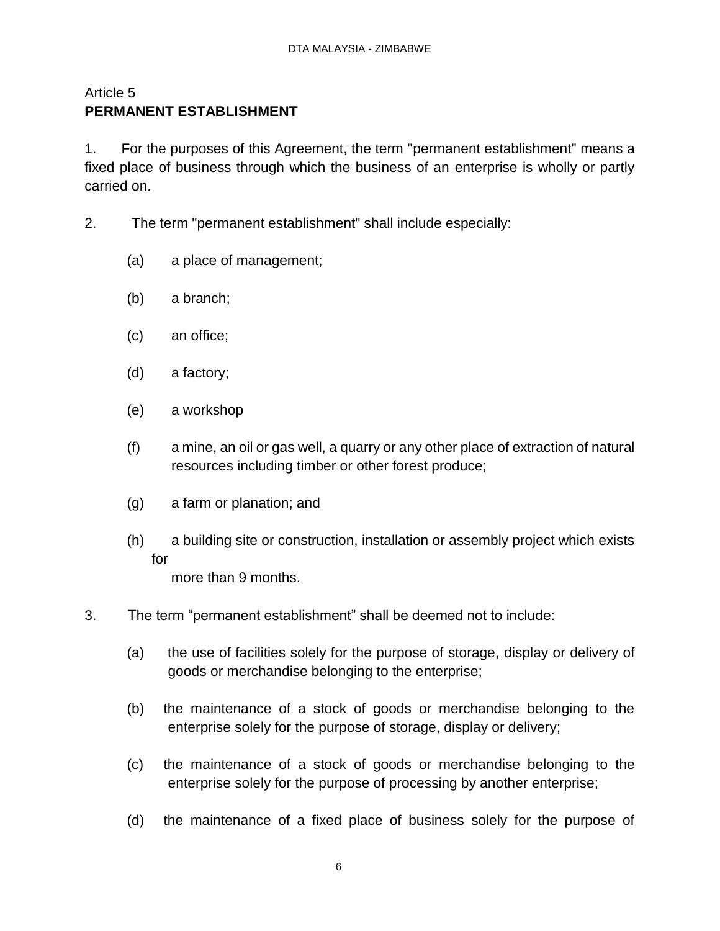#### Article 5 **PERMANENT ESTABLISHMENT**

1.For the purposes of this Agreement, the term "permanent establishment" means a fixed place of business through which the business of an enterprise is wholly or partly carried on.

2. The term "permanent establishment" shall include especially:

- (a) a place of management;
- (b) a branch;
- (c) an office;
- (d) a factory;
- (e) a workshop
- (f) a mine, an oil or gas well, a quarry or any other place of extraction of natural resources including timber or other forest produce;
- (g) a farm or planation; and
- (h) a building site or construction, installation or assembly project which exists for

more than 9 months.

- 3. The term "permanent establishment" shall be deemed not to include:
	- (a) the use of facilities solely for the purpose of storage, display or delivery of goods or merchandise belonging to the enterprise;
	- (b) the maintenance of a stock of goods or merchandise belonging to the enterprise solely for the purpose of storage, display or delivery;
	- (c) the maintenance of a stock of goods or merchandise belonging to the enterprise solely for the purpose of processing by another enterprise;
	- (d) the maintenance of a fixed place of business solely for the purpose of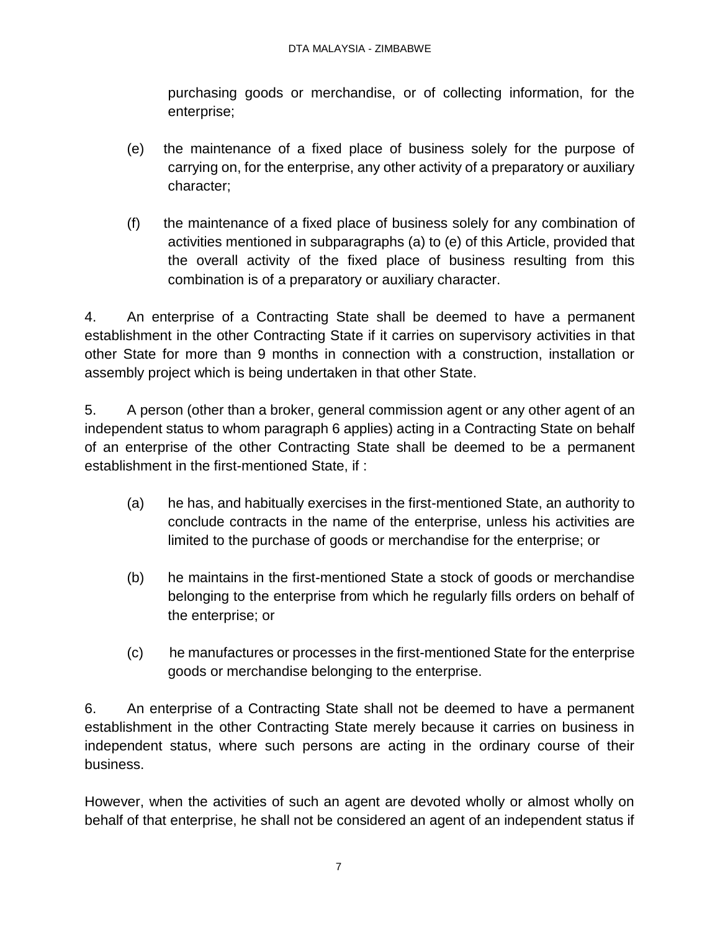purchasing goods or merchandise, or of collecting information, for the enterprise;

- (e) the maintenance of a fixed place of business solely for the purpose of carrying on, for the enterprise, any other activity of a preparatory or auxiliary character;
- (f) the maintenance of a fixed place of business solely for any combination of activities mentioned in subparagraphs (a) to (e) of this Article, provided that the overall activity of the fixed place of business resulting from this combination is of a preparatory or auxiliary character.

4. An enterprise of a Contracting State shall be deemed to have a permanent establishment in the other Contracting State if it carries on supervisory activities in that other State for more than 9 months in connection with a construction, installation or assembly project which is being undertaken in that other State.

5. A person (other than a broker, general commission agent or any other agent of an independent status to whom paragraph 6 applies) acting in a Contracting State on behalf of an enterprise of the other Contracting State shall be deemed to be a permanent establishment in the first-mentioned State, if :

- (a) he has, and habitually exercises in the first-mentioned State, an authority to conclude contracts in the name of the enterprise, unless his activities are limited to the purchase of goods or merchandise for the enterprise; or
- (b) he maintains in the first-mentioned State a stock of goods or merchandise belonging to the enterprise from which he regularly fills orders on behalf of the enterprise; or
- (c) he manufactures or processes in the first-mentioned State for the enterprise goods or merchandise belonging to the enterprise.

6. An enterprise of a Contracting State shall not be deemed to have a permanent establishment in the other Contracting State merely because it carries on business in independent status, where such persons are acting in the ordinary course of their business.

However, when the activities of such an agent are devoted wholly or almost wholly on behalf of that enterprise, he shall not be considered an agent of an independent status if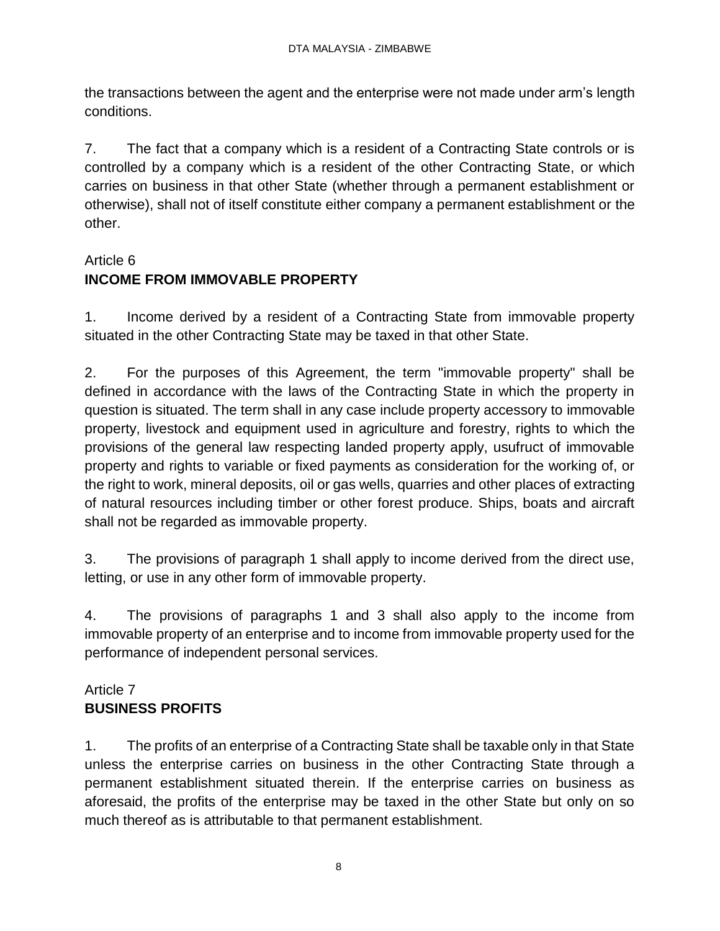the transactions between the agent and the enterprise were not made under arm's length conditions.

7. The fact that a company which is a resident of a Contracting State controls or is controlled by a company which is a resident of the other Contracting State, or which carries on business in that other State (whether through a permanent establishment or otherwise), shall not of itself constitute either company a permanent establishment or the other.

# Article 6 **INCOME FROM IMMOVABLE PROPERTY**

1. Income derived by a resident of a Contracting State from immovable property situated in the other Contracting State may be taxed in that other State.

2. For the purposes of this Agreement, the term "immovable property" shall be defined in accordance with the laws of the Contracting State in which the property in question is situated. The term shall in any case include property accessory to immovable property, livestock and equipment used in agriculture and forestry, rights to which the provisions of the general law respecting landed property apply, usufruct of immovable property and rights to variable or fixed payments as consideration for the working of, or the right to work, mineral deposits, oil or gas wells, quarries and other places of extracting of natural resources including timber or other forest produce. Ships, boats and aircraft shall not be regarded as immovable property.

3. The provisions of paragraph 1 shall apply to income derived from the direct use, letting, or use in any other form of immovable property.

4. The provisions of paragraphs 1 and 3 shall also apply to the income from immovable property of an enterprise and to income from immovable property used for the performance of independent personal services.

## Article 7 **BUSINESS PROFITS**

1. The profits of an enterprise of a Contracting State shall be taxable only in that State unless the enterprise carries on business in the other Contracting State through a permanent establishment situated therein. If the enterprise carries on business as aforesaid, the profits of the enterprise may be taxed in the other State but only on so much thereof as is attributable to that permanent establishment.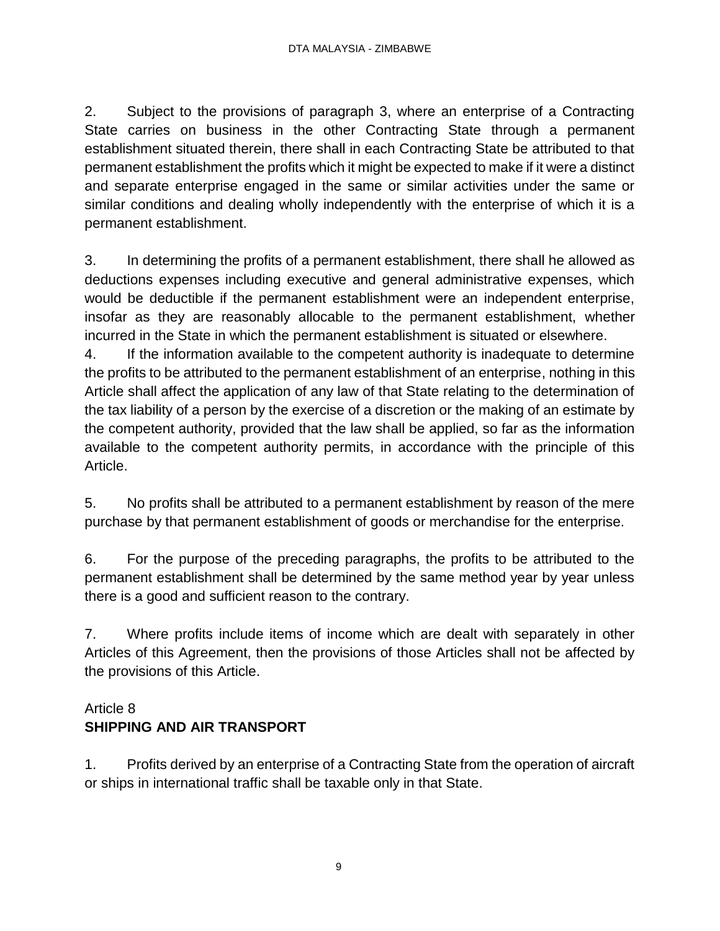2. Subject to the provisions of paragraph 3, where an enterprise of a Contracting State carries on business in the other Contracting State through a permanent establishment situated therein, there shall in each Contracting State be attributed to that permanent establishment the profits which it might be expected to make if it were a distinct and separate enterprise engaged in the same or similar activities under the same or similar conditions and dealing wholly independently with the enterprise of which it is a permanent establishment.

3. In determining the profits of a permanent establishment, there shall he allowed as deductions expenses including executive and general administrative expenses, which would be deductible if the permanent establishment were an independent enterprise, insofar as they are reasonably allocable to the permanent establishment, whether incurred in the State in which the permanent establishment is situated or elsewhere.

4. If the information available to the competent authority is inadequate to determine the profits to be attributed to the permanent establishment of an enterprise, nothing in this Article shall affect the application of any law of that State relating to the determination of the tax liability of a person by the exercise of a discretion or the making of an estimate by the competent authority, provided that the law shall be applied, so far as the information available to the competent authority permits, in accordance with the principle of this Article.

5. No profits shall be attributed to a permanent establishment by reason of the mere purchase by that permanent establishment of goods or merchandise for the enterprise.

6. For the purpose of the preceding paragraphs, the profits to be attributed to the permanent establishment shall be determined by the same method year by year unless there is a good and sufficient reason to the contrary.

7. Where profits include items of income which are dealt with separately in other Articles of this Agreement, then the provisions of those Articles shall not be affected by the provisions of this Article.

## Article 8 **SHIPPING AND AIR TRANSPORT**

1. Profits derived by an enterprise of a Contracting State from the operation of aircraft or ships in international traffic shall be taxable only in that State.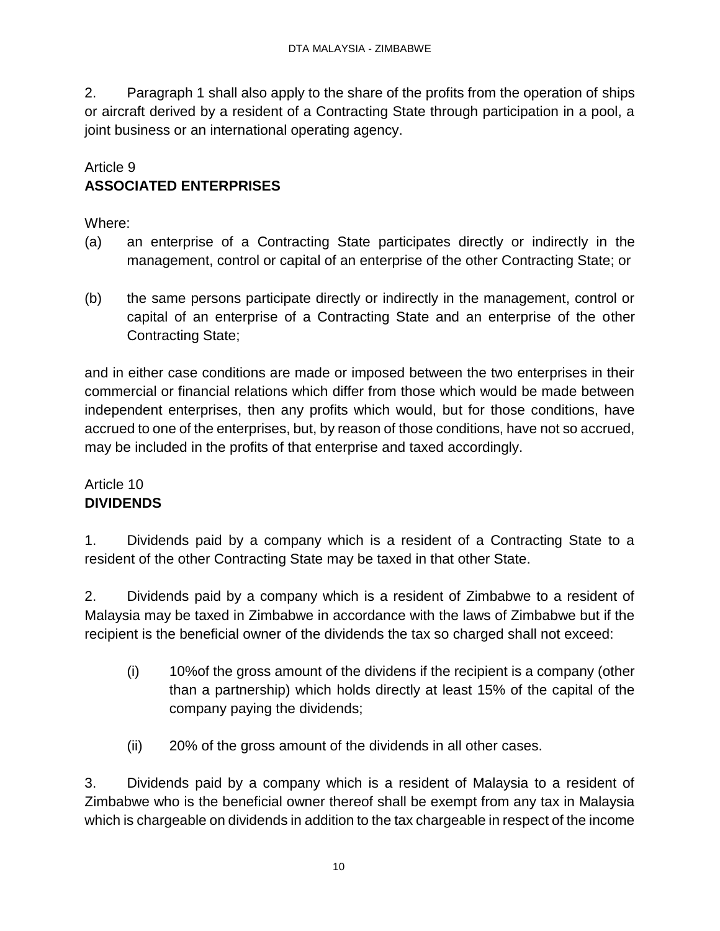2. Paragraph 1 shall also apply to the share of the profits from the operation of ships or aircraft derived by a resident of a Contracting State through participation in a pool, a joint business or an international operating agency.

#### Article 9 **ASSOCIATED ENTERPRISES**

Where:

- (a) an enterprise of a Contracting State participates directly or indirectly in the management, control or capital of an enterprise of the other Contracting State; or
- (b) the same persons participate directly or indirectly in the management, control or capital of an enterprise of a Contracting State and an enterprise of the other Contracting State;

and in either case conditions are made or imposed between the two enterprises in their commercial or financial relations which differ from those which would be made between independent enterprises, then any profits which would, but for those conditions, have accrued to one of the enterprises, but, by reason of those conditions, have not so accrued, may be included in the profits of that enterprise and taxed accordingly.

#### Article 10 **DIVIDENDS**

1. Dividends paid by a company which is a resident of a Contracting State to a resident of the other Contracting State may be taxed in that other State.

2. Dividends paid by a company which is a resident of Zimbabwe to a resident of Malaysia may be taxed in Zimbabwe in accordance with the laws of Zimbabwe but if the recipient is the beneficial owner of the dividends the tax so charged shall not exceed:

- (i) 10%of the gross amount of the dividens if the recipient is a company (other than a partnership) which holds directly at least 15% of the capital of the company paying the dividends;
- (ii) 20% of the gross amount of the dividends in all other cases.

3. Dividends paid by a company which is a resident of Malaysia to a resident of Zimbabwe who is the beneficial owner thereof shall be exempt from any tax in Malaysia which is chargeable on dividends in addition to the tax chargeable in respect of the income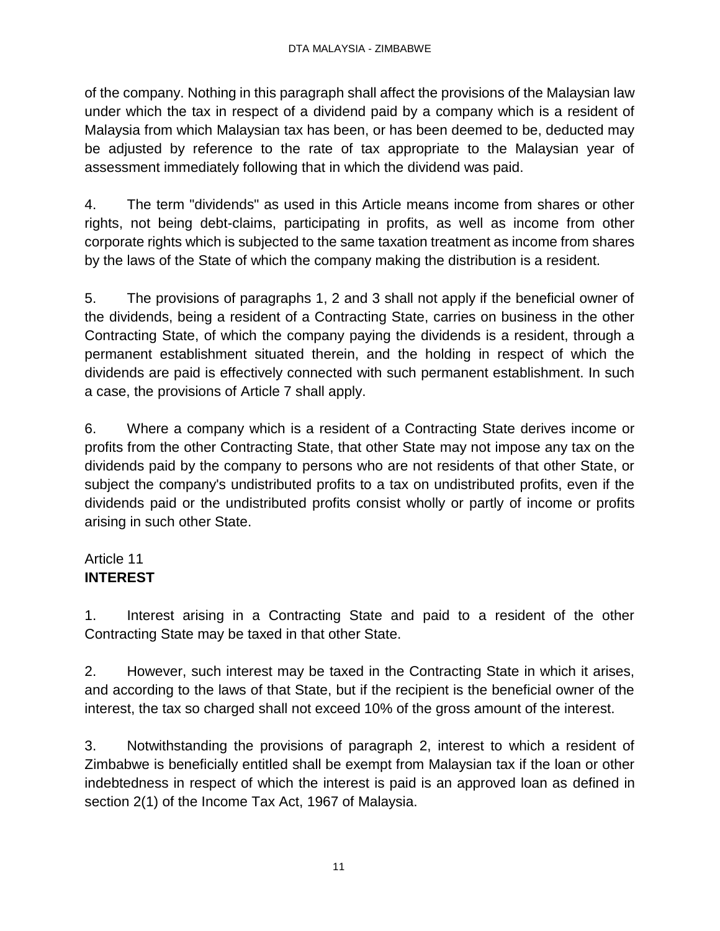of the company. Nothing in this paragraph shall affect the provisions of the Malaysian law under which the tax in respect of a dividend paid by a company which is a resident of Malaysia from which Malaysian tax has been, or has been deemed to be, deducted may be adjusted by reference to the rate of tax appropriate to the Malaysian year of assessment immediately following that in which the dividend was paid.

4. The term "dividends" as used in this Article means income from shares or other rights, not being debt-claims, participating in profits, as well as income from other corporate rights which is subjected to the same taxation treatment as income from shares by the laws of the State of which the company making the distribution is a resident.

5. The provisions of paragraphs 1, 2 and 3 shall not apply if the beneficial owner of the dividends, being a resident of a Contracting State, carries on business in the other Contracting State, of which the company paying the dividends is a resident, through a permanent establishment situated therein, and the holding in respect of which the dividends are paid is effectively connected with such permanent establishment. In such a case, the provisions of Article 7 shall apply.

6. Where a company which is a resident of a Contracting State derives income or profits from the other Contracting State, that other State may not impose any tax on the dividends paid by the company to persons who are not residents of that other State, or subject the company's undistributed profits to a tax on undistributed profits, even if the dividends paid or the undistributed profits consist wholly or partly of income or profits arising in such other State.

## Article 11 **INTEREST**

1. Interest arising in a Contracting State and paid to a resident of the other Contracting State may be taxed in that other State.

2. However, such interest may be taxed in the Contracting State in which it arises, and according to the laws of that State, but if the recipient is the beneficial owner of the interest, the tax so charged shall not exceed 10% of the gross amount of the interest.

3. Notwithstanding the provisions of paragraph 2, interest to which a resident of Zimbabwe is beneficially entitled shall be exempt from Malaysian tax if the loan or other indebtedness in respect of which the interest is paid is an approved loan as defined in section 2(1) of the Income Tax Act, 1967 of Malaysia.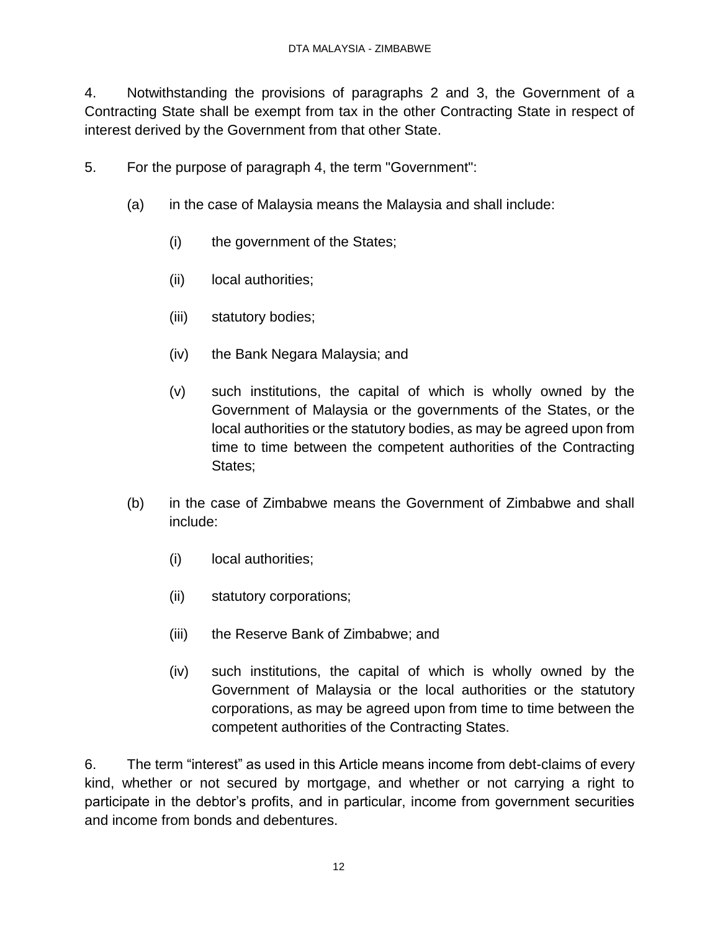4. Notwithstanding the provisions of paragraphs 2 and 3, the Government of a Contracting State shall be exempt from tax in the other Contracting State in respect of interest derived by the Government from that other State.

- 5. For the purpose of paragraph 4, the term "Government":
	- (a) in the case of Malaysia means the Malaysia and shall include:
		- (i) the government of the States;
		- (ii) local authorities;
		- (iii) statutory bodies;
		- (iv) the Bank Negara Malaysia; and
		- (v) such institutions, the capital of which is wholly owned by the Government of Malaysia or the governments of the States, or the local authorities or the statutory bodies, as may be agreed upon from time to time between the competent authorities of the Contracting States;
	- (b) in the case of Zimbabwe means the Government of Zimbabwe and shall include:
		- (i) local authorities;
		- (ii) statutory corporations;
		- (iii) the Reserve Bank of Zimbabwe; and
		- (iv) such institutions, the capital of which is wholly owned by the Government of Malaysia or the local authorities or the statutory corporations, as may be agreed upon from time to time between the competent authorities of the Contracting States.

6. The term "interest" as used in this Article means income from debt-claims of every kind, whether or not secured by mortgage, and whether or not carrying a right to participate in the debtor's profits, and in particular, income from government securities and income from bonds and debentures.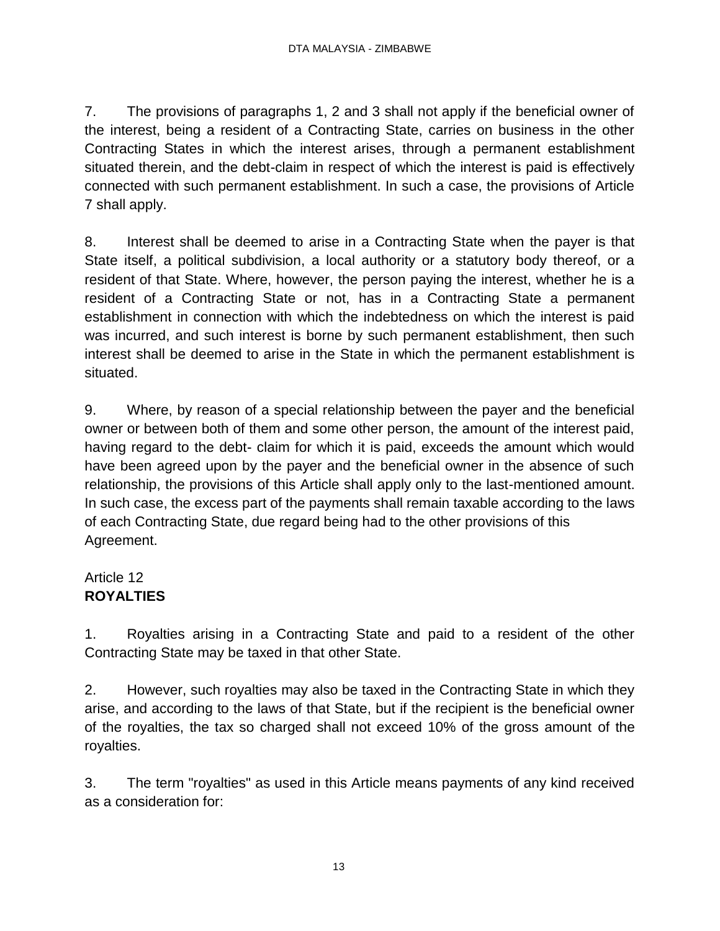7. The provisions of paragraphs 1, 2 and 3 shall not apply if the beneficial owner of the interest, being a resident of a Contracting State, carries on business in the other Contracting States in which the interest arises, through a permanent establishment situated therein, and the debt-claim in respect of which the interest is paid is effectively connected with such permanent establishment. In such a case, the provisions of Article 7 shall apply.

8. Interest shall be deemed to arise in a Contracting State when the payer is that State itself, a political subdivision, a local authority or a statutory body thereof, or a resident of that State. Where, however, the person paying the interest, whether he is a resident of a Contracting State or not, has in a Contracting State a permanent establishment in connection with which the indebtedness on which the interest is paid was incurred, and such interest is borne by such permanent establishment, then such interest shall be deemed to arise in the State in which the permanent establishment is situated.

9. Where, by reason of a special relationship between the payer and the beneficial owner or between both of them and some other person, the amount of the interest paid, having regard to the debt- claim for which it is paid, exceeds the amount which would have been agreed upon by the payer and the beneficial owner in the absence of such relationship, the provisions of this Article shall apply only to the last-mentioned amount. In such case, the excess part of the payments shall remain taxable according to the laws of each Contracting State, due regard being had to the other provisions of this Agreement.

## Article 12 **ROYALTIES**

1. Royalties arising in a Contracting State and paid to a resident of the other Contracting State may be taxed in that other State.

2. However, such royalties may also be taxed in the Contracting State in which they arise, and according to the laws of that State, but if the recipient is the beneficial owner of the royalties, the tax so charged shall not exceed 10% of the gross amount of the royalties.

3. The term "royalties" as used in this Article means payments of any kind received as a consideration for: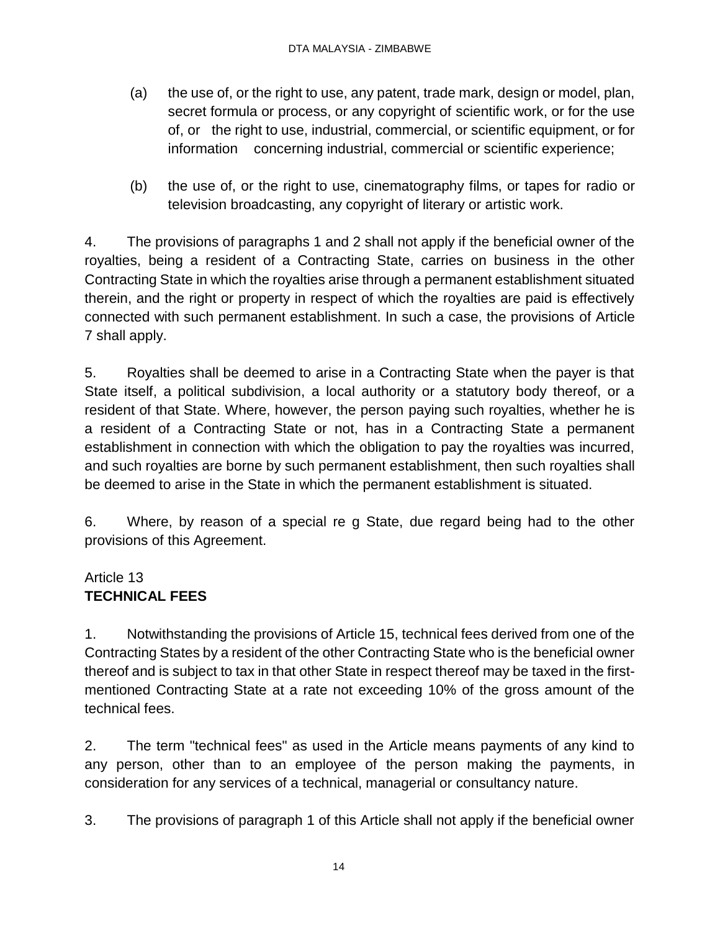- (a) the use of, or the right to use, any patent, trade mark, design or model, plan, secret formula or process, or any copyright of scientific work, or for the use of, or the right to use, industrial, commercial, or scientific equipment, or for information concerning industrial, commercial or scientific experience;
- (b) the use of, or the right to use, cinematography films, or tapes for radio or television broadcasting, any copyright of literary or artistic work.

4. The provisions of paragraphs 1 and 2 shall not apply if the beneficial owner of the royalties, being a resident of a Contracting State, carries on business in the other Contracting State in which the royalties arise through a permanent establishment situated therein, and the right or property in respect of which the royalties are paid is effectively connected with such permanent establishment. In such a case, the provisions of Article 7 shall apply.

5. Royalties shall be deemed to arise in a Contracting State when the payer is that State itself, a political subdivision, a local authority or a statutory body thereof, or a resident of that State. Where, however, the person paying such royalties, whether he is a resident of a Contracting State or not, has in a Contracting State a permanent establishment in connection with which the obligation to pay the royalties was incurred, and such royalties are borne by such permanent establishment, then such royalties shall be deemed to arise in the State in which the permanent establishment is situated.

6. Where, by reason of a special re g State, due regard being had to the other provisions of this Agreement.

## Article 13 **TECHNICAL FEES**

1. Notwithstanding the provisions of Article 15, technical fees derived from one of the Contracting States by a resident of the other Contracting State who is the beneficial owner thereof and is subject to tax in that other State in respect thereof may be taxed in the firstmentioned Contracting State at a rate not exceeding 10% of the gross amount of the technical fees.

2. The term "technical fees" as used in the Article means payments of any kind to any person, other than to an employee of the person making the payments, in consideration for any services of a technical, managerial or consultancy nature.

3. The provisions of paragraph 1 of this Article shall not apply if the beneficial owner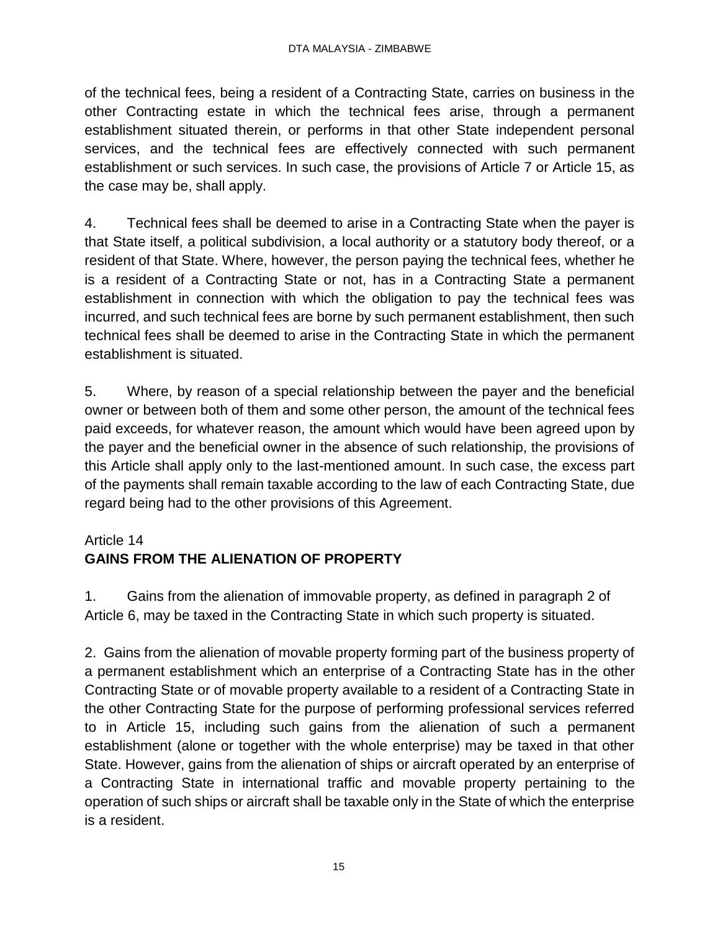of the technical fees, being a resident of a Contracting State, carries on business in the other Contracting estate in which the technical fees arise, through a permanent establishment situated therein, or performs in that other State independent personal services, and the technical fees are effectively connected with such permanent establishment or such services. In such case, the provisions of Article 7 or Article 15, as the case may be, shall apply.

4. Technical fees shall be deemed to arise in a Contracting State when the payer is that State itself, a political subdivision, a local authority or a statutory body thereof, or a resident of that State. Where, however, the person paying the technical fees, whether he is a resident of a Contracting State or not, has in a Contracting State a permanent establishment in connection with which the obligation to pay the technical fees was incurred, and such technical fees are borne by such permanent establishment, then such technical fees shall be deemed to arise in the Contracting State in which the permanent establishment is situated.

5. Where, by reason of a special relationship between the payer and the beneficial owner or between both of them and some other person, the amount of the technical fees paid exceeds, for whatever reason, the amount which would have been agreed upon by the payer and the beneficial owner in the absence of such relationship, the provisions of this Article shall apply only to the last-mentioned amount. In such case, the excess part of the payments shall remain taxable according to the law of each Contracting State, due regard being had to the other provisions of this Agreement.

#### Article 14

## **GAINS FROM THE ALIENATION OF PROPERTY**

1. Gains from the alienation of immovable property, as defined in paragraph 2 of Article 6, may be taxed in the Contracting State in which such property is situated.

2. Gains from the alienation of movable property forming part of the business property of a permanent establishment which an enterprise of a Contracting State has in the other Contracting State or of movable property available to a resident of a Contracting State in the other Contracting State for the purpose of performing professional services referred to in Article 15, including such gains from the alienation of such a permanent establishment (alone or together with the whole enterprise) may be taxed in that other State. However, gains from the alienation of ships or aircraft operated by an enterprise of a Contracting State in international traffic and movable property pertaining to the operation of such ships or aircraft shall be taxable only in the State of which the enterprise is a resident.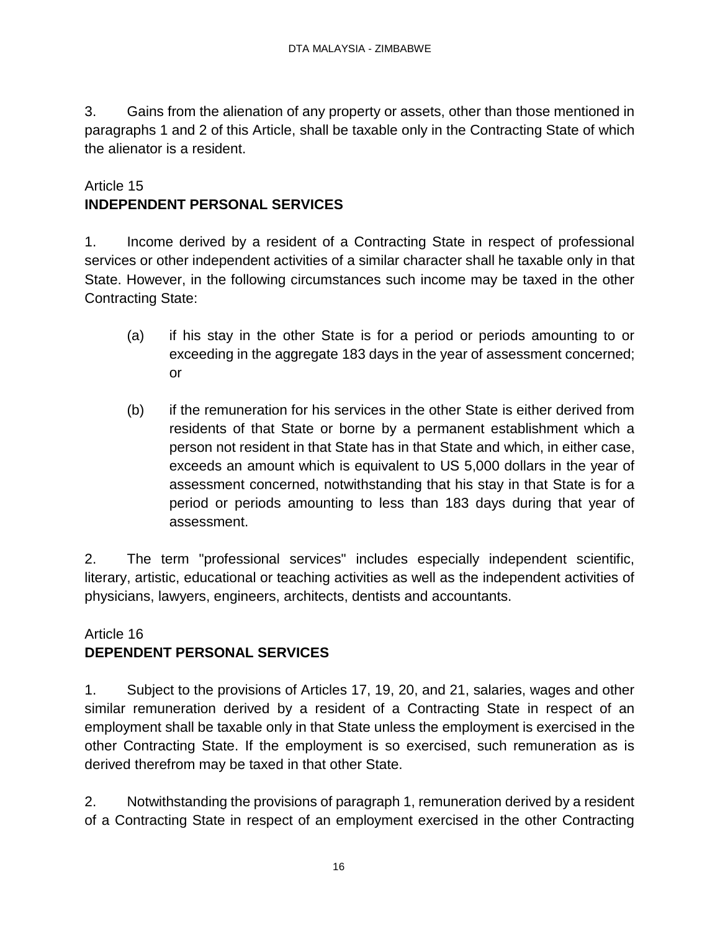3. Gains from the alienation of any property or assets, other than those mentioned in paragraphs 1 and 2 of this Article, shall be taxable only in the Contracting State of which the alienator is a resident.

## Article 15 **INDEPENDENT PERSONAL SERVICES**

1. Income derived by a resident of a Contracting State in respect of professional services or other independent activities of a similar character shall he taxable only in that State. However, in the following circumstances such income may be taxed in the other Contracting State:

- (a) if his stay in the other State is for a period or periods amounting to or exceeding in the aggregate 183 days in the year of assessment concerned; or
- (b) if the remuneration for his services in the other State is either derived from residents of that State or borne by a permanent establishment which a person not resident in that State has in that State and which, in either case, exceeds an amount which is equivalent to US 5,000 dollars in the year of assessment concerned, notwithstanding that his stay in that State is for a period or periods amounting to less than 183 days during that year of assessment.

2. The term "professional services" includes especially independent scientific, literary, artistic, educational or teaching activities as well as the independent activities of physicians, lawyers, engineers, architects, dentists and accountants.

#### Article 16 **DEPENDENT PERSONAL SERVICES**

1. Subject to the provisions of Articles 17, 19, 20, and 21, salaries, wages and other similar remuneration derived by a resident of a Contracting State in respect of an employment shall be taxable only in that State unless the employment is exercised in the other Contracting State. If the employment is so exercised, such remuneration as is derived therefrom may be taxed in that other State.

2. Notwithstanding the provisions of paragraph 1, remuneration derived by a resident of a Contracting State in respect of an employment exercised in the other Contracting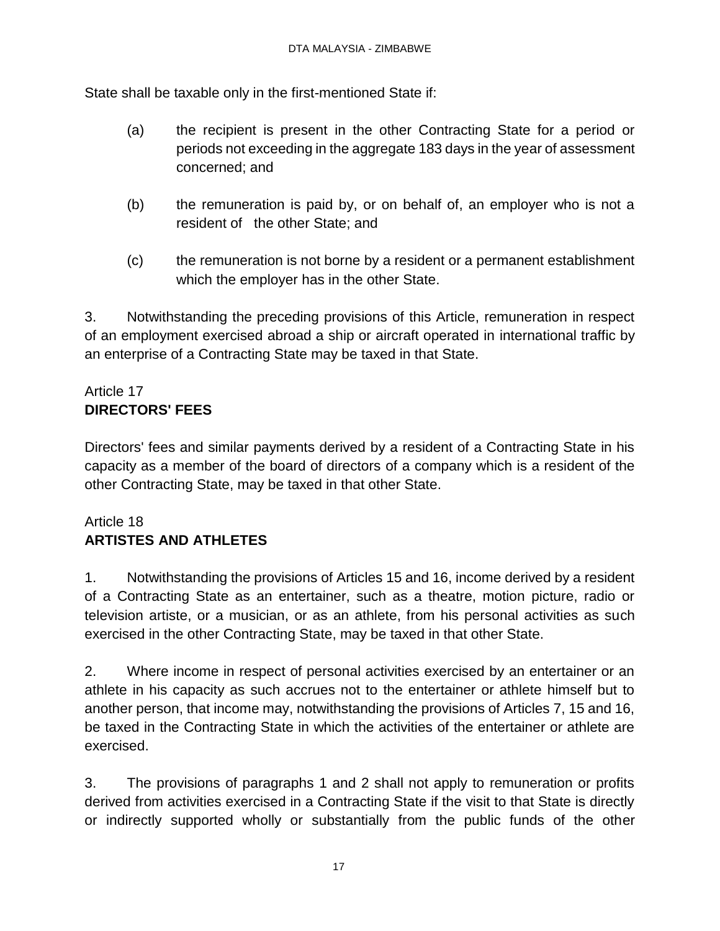State shall be taxable only in the first-mentioned State if:

- (a) the recipient is present in the other Contracting State for a period or periods not exceeding in the aggregate 183 days in the year of assessment concerned; and
- (b) the remuneration is paid by, or on behalf of, an employer who is not a resident of the other State; and
- (c) the remuneration is not borne by a resident or a permanent establishment which the employer has in the other State.

3. Notwithstanding the preceding provisions of this Article, remuneration in respect of an employment exercised abroad a ship or aircraft operated in international traffic by an enterprise of a Contracting State may be taxed in that State.

## Article 17 **DIRECTORS' FEES**

Directors' fees and similar payments derived by a resident of a Contracting State in his capacity as a member of the board of directors of a company which is a resident of the other Contracting State, may be taxed in that other State.

## Article 18 **ARTISTES AND ATHLETES**

1. Notwithstanding the provisions of Articles 15 and 16, income derived by a resident of a Contracting State as an entertainer, such as a theatre, motion picture, radio or television artiste, or a musician, or as an athlete, from his personal activities as such exercised in the other Contracting State, may be taxed in that other State.

2. Where income in respect of personal activities exercised by an entertainer or an athlete in his capacity as such accrues not to the entertainer or athlete himself but to another person, that income may, notwithstanding the provisions of Articles 7, 15 and 16, be taxed in the Contracting State in which the activities of the entertainer or athlete are exercised.

3. The provisions of paragraphs 1 and 2 shall not apply to remuneration or profits derived from activities exercised in a Contracting State if the visit to that State is directly or indirectly supported wholly or substantially from the public funds of the other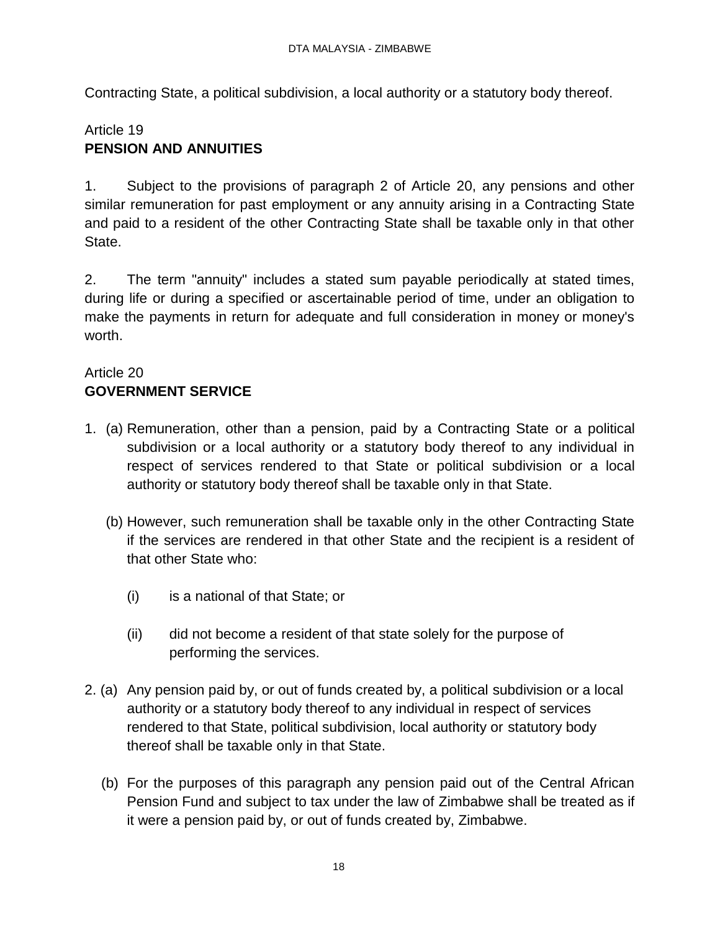Contracting State, a political subdivision, a local authority or a statutory body thereof.

## Article 19 **PENSION AND ANNUITIES**

1. Subject to the provisions of paragraph 2 of Article 20, any pensions and other similar remuneration for past employment or any annuity arising in a Contracting State and paid to a resident of the other Contracting State shall be taxable only in that other State.

2. The term "annuity" includes a stated sum payable periodically at stated times, during life or during a specified or ascertainable period of time, under an obligation to make the payments in return for adequate and full consideration in money or money's worth.

#### Article 20 **GOVERNMENT SERVICE**

- 1. (a) Remuneration, other than a pension, paid by a Contracting State or a political subdivision or a local authority or a statutory body thereof to any individual in respect of services rendered to that State or political subdivision or a local authority or statutory body thereof shall be taxable only in that State.
	- (b) However, such remuneration shall be taxable only in the other Contracting State if the services are rendered in that other State and the recipient is a resident of that other State who:
		- (i) is a national of that State; or
		- (ii) did not become a resident of that state solely for the purpose of performing the services.
- 2. (a) Any pension paid by, or out of funds created by, a political subdivision or a local authority or a statutory body thereof to any individual in respect of services rendered to that State, political subdivision, local authority or statutory body thereof shall be taxable only in that State.
	- (b) For the purposes of this paragraph any pension paid out of the Central African Pension Fund and subject to tax under the law of Zimbabwe shall be treated as if it were a pension paid by, or out of funds created by, Zimbabwe.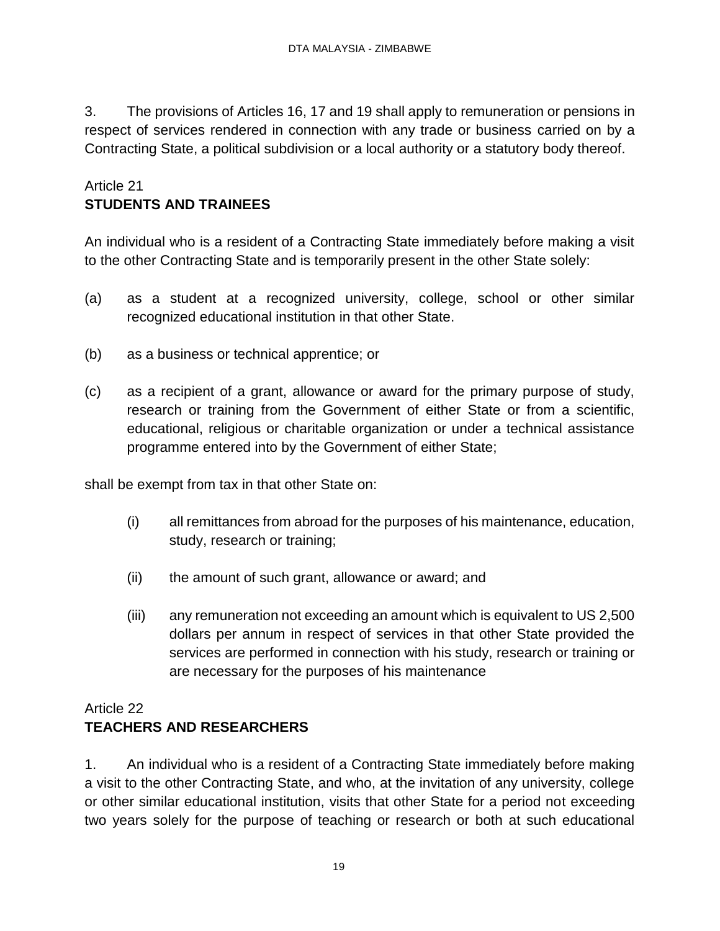3. The provisions of Articles 16, 17 and 19 shall apply to remuneration or pensions in respect of services rendered in connection with any trade or business carried on by a Contracting State, a political subdivision or a local authority or a statutory body thereof.

## Article 21 **STUDENTS AND TRAINEES**

An individual who is a resident of a Contracting State immediately before making a visit to the other Contracting State and is temporarily present in the other State solely:

- (a) as a student at a recognized university, college, school or other similar recognized educational institution in that other State.
- (b) as a business or technical apprentice; or
- (c) as a recipient of a grant, allowance or award for the primary purpose of study, research or training from the Government of either State or from a scientific, educational, religious or charitable organization or under a technical assistance programme entered into by the Government of either State;

shall be exempt from tax in that other State on:

- (i) all remittances from abroad for the purposes of his maintenance, education, study, research or training;
- (ii) the amount of such grant, allowance or award; and
- (iii) any remuneration not exceeding an amount which is equivalent to US 2,500 dollars per annum in respect of services in that other State provided the services are performed in connection with his study, research or training or are necessary for the purposes of his maintenance

# Article 22 **TEACHERS AND RESEARCHERS**

1. An individual who is a resident of a Contracting State immediately before making a visit to the other Contracting State, and who, at the invitation of any university, college or other similar educational institution, visits that other State for a period not exceeding two years solely for the purpose of teaching or research or both at such educational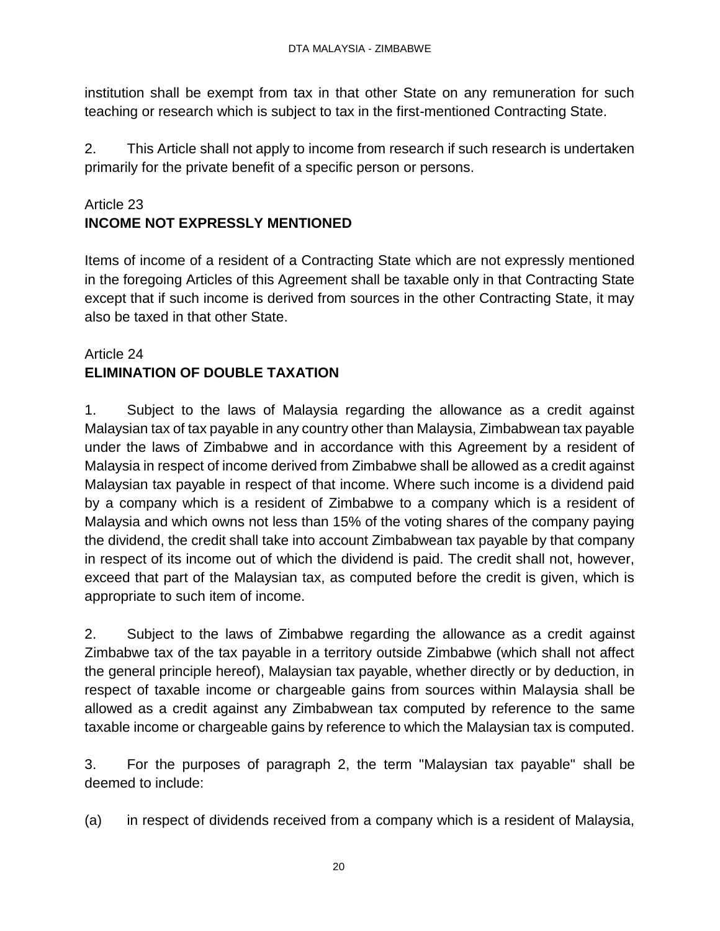institution shall be exempt from tax in that other State on any remuneration for such teaching or research which is subject to tax in the first-mentioned Contracting State.

2. This Article shall not apply to income from research if such research is undertaken primarily for the private benefit of a specific person or persons.

# Article 23 **INCOME NOT EXPRESSLY MENTIONED**

Items of income of a resident of a Contracting State which are not expressly mentioned in the foregoing Articles of this Agreement shall be taxable only in that Contracting State except that if such income is derived from sources in the other Contracting State, it may also be taxed in that other State.

#### Article 24 **ELIMINATION OF DOUBLE TAXATION**

1. Subject to the laws of Malaysia regarding the allowance as a credit against Malaysian tax of tax payable in any country other than Malaysia, Zimbabwean tax payable under the laws of Zimbabwe and in accordance with this Agreement by a resident of Malaysia in respect of income derived from Zimbabwe shall be allowed as a credit against Malaysian tax payable in respect of that income. Where such income is a dividend paid by a company which is a resident of Zimbabwe to a company which is a resident of Malaysia and which owns not less than 15% of the voting shares of the company paying the dividend, the credit shall take into account Zimbabwean tax payable by that company in respect of its income out of which the dividend is paid. The credit shall not, however, exceed that part of the Malaysian tax, as computed before the credit is given, which is appropriate to such item of income.

2. Subject to the laws of Zimbabwe regarding the allowance as a credit against Zimbabwe tax of the tax payable in a territory outside Zimbabwe (which shall not affect the general principle hereof), Malaysian tax payable, whether directly or by deduction, in respect of taxable income or chargeable gains from sources within Malaysia shall be allowed as a credit against any Zimbabwean tax computed by reference to the same taxable income or chargeable gains by reference to which the Malaysian tax is computed.

3. For the purposes of paragraph 2, the term "Malaysian tax payable" shall be deemed to include:

(a) in respect of dividends received from a company which is a resident of Malaysia,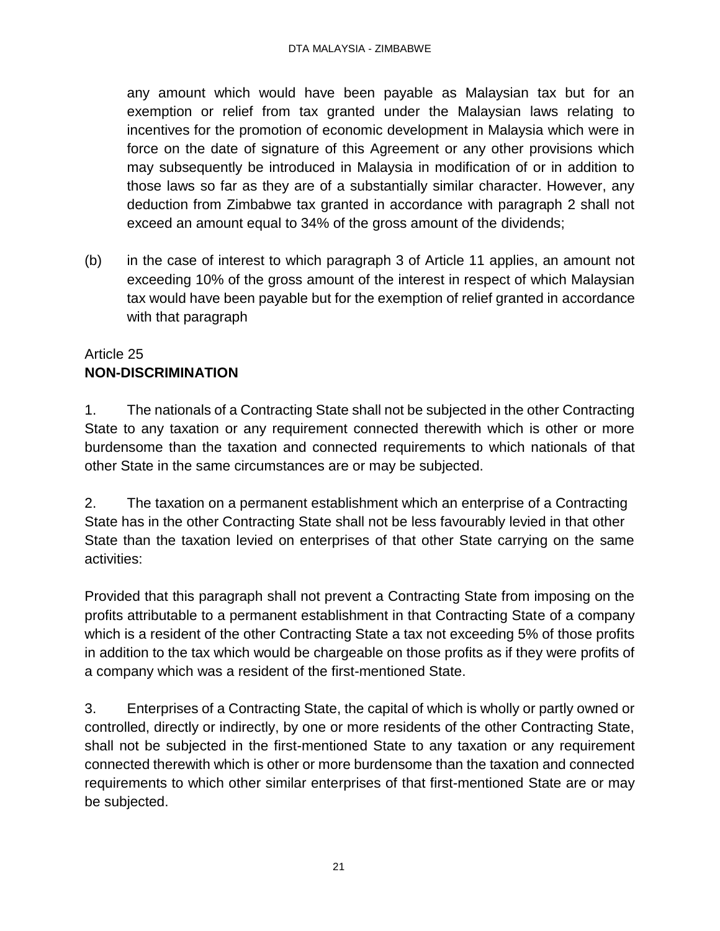any amount which would have been payable as Malaysian tax but for an exemption or relief from tax granted under the Malaysian laws relating to incentives for the promotion of economic development in Malaysia which were in force on the date of signature of this Agreement or any other provisions which may subsequently be introduced in Malaysia in modification of or in addition to those laws so far as they are of a substantially similar character. However, any deduction from Zimbabwe tax granted in accordance with paragraph 2 shall not exceed an amount equal to 34% of the gross amount of the dividends;

(b) in the case of interest to which paragraph 3 of Article 11 applies, an amount not exceeding 10% of the gross amount of the interest in respect of which Malaysian tax would have been payable but for the exemption of relief granted in accordance with that paragraph

## Article 25 **NON-DISCRIMINATION**

1. The nationals of a Contracting State shall not be subjected in the other Contracting State to any taxation or any requirement connected therewith which is other or more burdensome than the taxation and connected requirements to which nationals of that other State in the same circumstances are or may be subjected.

2. The taxation on a permanent establishment which an enterprise of a Contracting State has in the other Contracting State shall not be less favourably levied in that other State than the taxation levied on enterprises of that other State carrying on the same activities:

Provided that this paragraph shall not prevent a Contracting State from imposing on the profits attributable to a permanent establishment in that Contracting State of a company which is a resident of the other Contracting State a tax not exceeding 5% of those profits in addition to the tax which would be chargeable on those profits as if they were profits of a company which was a resident of the first-mentioned State.

3. Enterprises of a Contracting State, the capital of which is wholly or partly owned or controlled, directly or indirectly, by one or more residents of the other Contracting State, shall not be subjected in the first-mentioned State to any taxation or any requirement connected therewith which is other or more burdensome than the taxation and connected requirements to which other similar enterprises of that first-mentioned State are or may be subjected.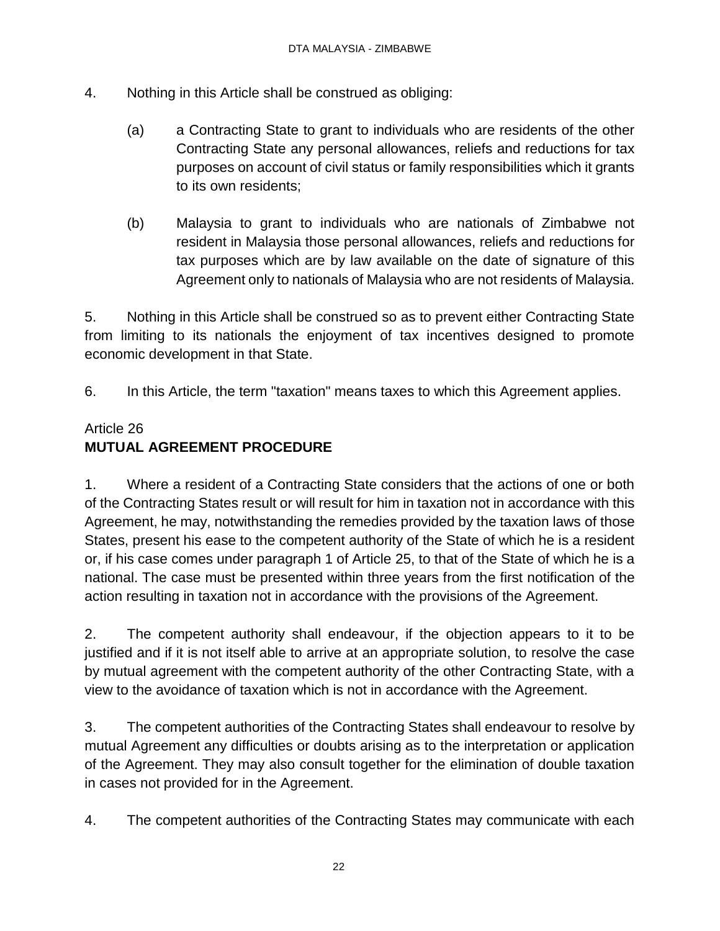- 4. Nothing in this Article shall be construed as obliging:
	- (a) a Contracting State to grant to individuals who are residents of the other Contracting State any personal allowances, reliefs and reductions for tax purposes on account of civil status or family responsibilities which it grants to its own residents;
	- (b) Malaysia to grant to individuals who are nationals of Zimbabwe not resident in Malaysia those personal allowances, reliefs and reductions for tax purposes which are by law available on the date of signature of this Agreement only to nationals of Malaysia who are not residents of Malaysia.

5. Nothing in this Article shall be construed so as to prevent either Contracting State from limiting to its nationals the enjoyment of tax incentives designed to promote economic development in that State.

6. In this Article, the term "taxation" means taxes to which this Agreement applies.

## Article 26

# **MUTUAL AGREEMENT PROCEDURE**

1. Where a resident of a Contracting State considers that the actions of one or both of the Contracting States result or will result for him in taxation not in accordance with this Agreement, he may, notwithstanding the remedies provided by the taxation laws of those States, present his ease to the competent authority of the State of which he is a resident or, if his case comes under paragraph 1 of Article 25, to that of the State of which he is a national. The case must be presented within three years from the first notification of the action resulting in taxation not in accordance with the provisions of the Agreement.

2. The competent authority shall endeavour, if the objection appears to it to be justified and if it is not itself able to arrive at an appropriate solution, to resolve the case by mutual agreement with the competent authority of the other Contracting State, with a view to the avoidance of taxation which is not in accordance with the Agreement.

3. The competent authorities of the Contracting States shall endeavour to resolve by mutual Agreement any difficulties or doubts arising as to the interpretation or application of the Agreement. They may also consult together for the elimination of double taxation in cases not provided for in the Agreement.

4. The competent authorities of the Contracting States may communicate with each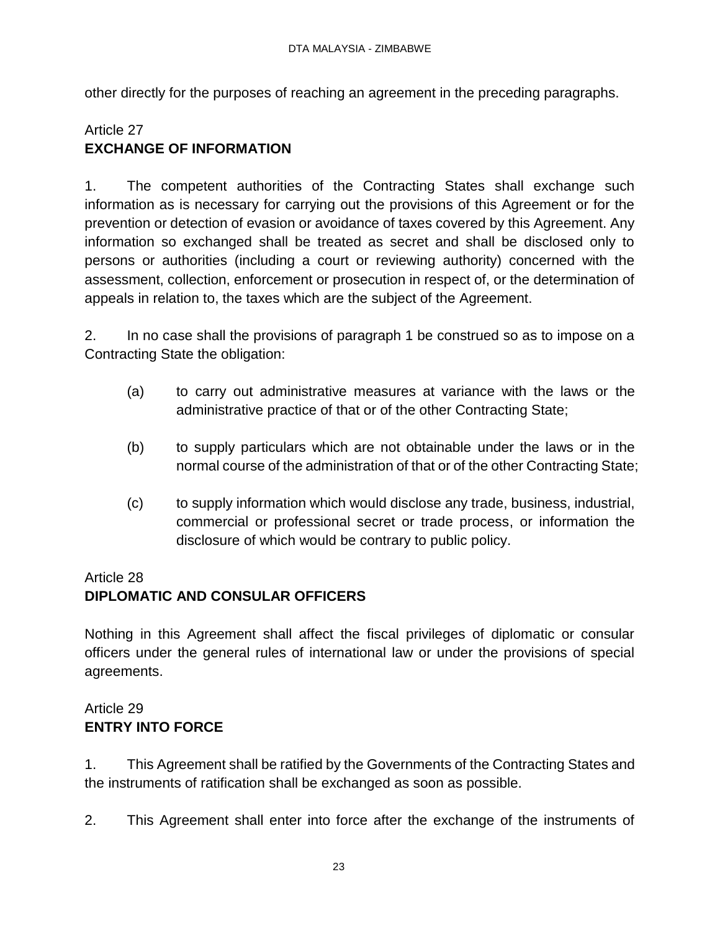other directly for the purposes of reaching an agreement in the preceding paragraphs.

## Article 27 **EXCHANGE OF INFORMATION**

1. The competent authorities of the Contracting States shall exchange such information as is necessary for carrying out the provisions of this Agreement or for the prevention or detection of evasion or avoidance of taxes covered by this Agreement. Any information so exchanged shall be treated as secret and shall be disclosed only to persons or authorities (including a court or reviewing authority) concerned with the assessment, collection, enforcement or prosecution in respect of, or the determination of appeals in relation to, the taxes which are the subject of the Agreement.

2. In no case shall the provisions of paragraph 1 be construed so as to impose on a Contracting State the obligation:

- (a) to carry out administrative measures at variance with the laws or the administrative practice of that or of the other Contracting State;
- (b) to supply particulars which are not obtainable under the laws or in the normal course of the administration of that or of the other Contracting State;
- (c) to supply information which would disclose any trade, business, industrial, commercial or professional secret or trade process, or information the disclosure of which would be contrary to public policy.

## Article 28

# **DIPLOMATIC AND CONSULAR OFFICERS**

Nothing in this Agreement shall affect the fiscal privileges of diplomatic or consular officers under the general rules of international law or under the provisions of special agreements.

## Article 29 **ENTRY INTO FORCE**

1. This Agreement shall be ratified by the Governments of the Contracting States and the instruments of ratification shall be exchanged as soon as possible.

2. This Agreement shall enter into force after the exchange of the instruments of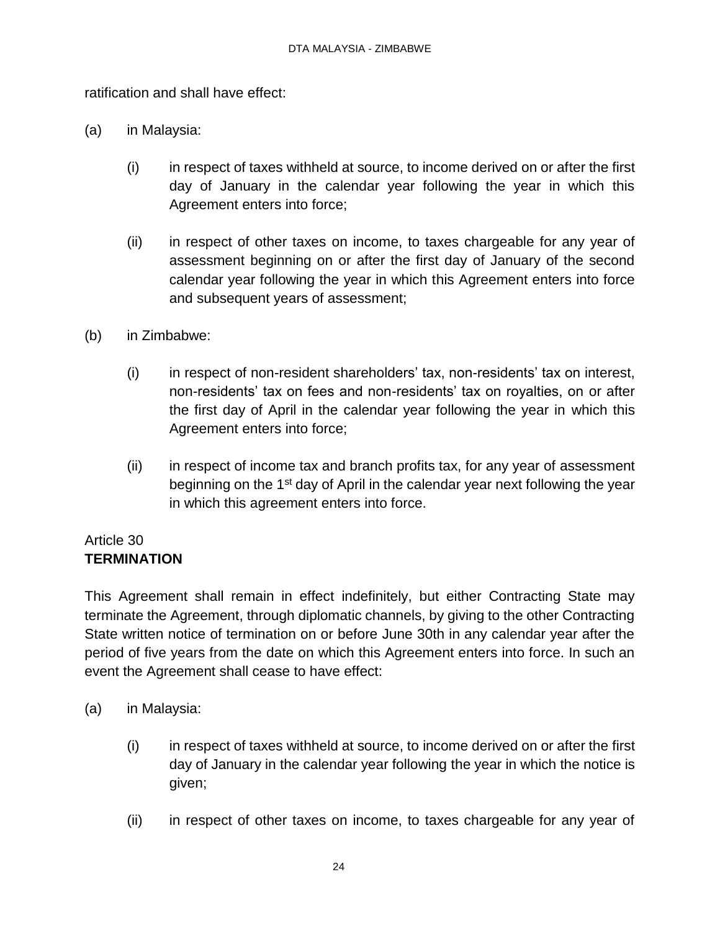ratification and shall have effect:

- (a) in Malaysia:
	- (i) in respect of taxes withheld at source, to income derived on or after the first day of January in the calendar year following the year in which this Agreement enters into force;
	- (ii) in respect of other taxes on income, to taxes chargeable for any year of assessment beginning on or after the first day of January of the second calendar year following the year in which this Agreement enters into force and subsequent years of assessment;
- (b) in Zimbabwe:
	- (i) in respect of non-resident shareholders' tax, non-residents' tax on interest, non-residents' tax on fees and non-residents' tax on royalties, on or after the first day of April in the calendar year following the year in which this Agreement enters into force;
	- (ii) in respect of income tax and branch profits tax, for any year of assessment beginning on the 1<sup>st</sup> day of April in the calendar year next following the year in which this agreement enters into force.

#### Article 30 **TERMINATION**

This Agreement shall remain in effect indefinitely, but either Contracting State may terminate the Agreement, through diplomatic channels, by giving to the other Contracting State written notice of termination on or before June 30th in any calendar year after the period of five years from the date on which this Agreement enters into force. In such an event the Agreement shall cease to have effect:

- (a) in Malaysia:
	- (i) in respect of taxes withheld at source, to income derived on or after the first day of January in the calendar year following the year in which the notice is given;
	- (ii) in respect of other taxes on income, to taxes chargeable for any year of